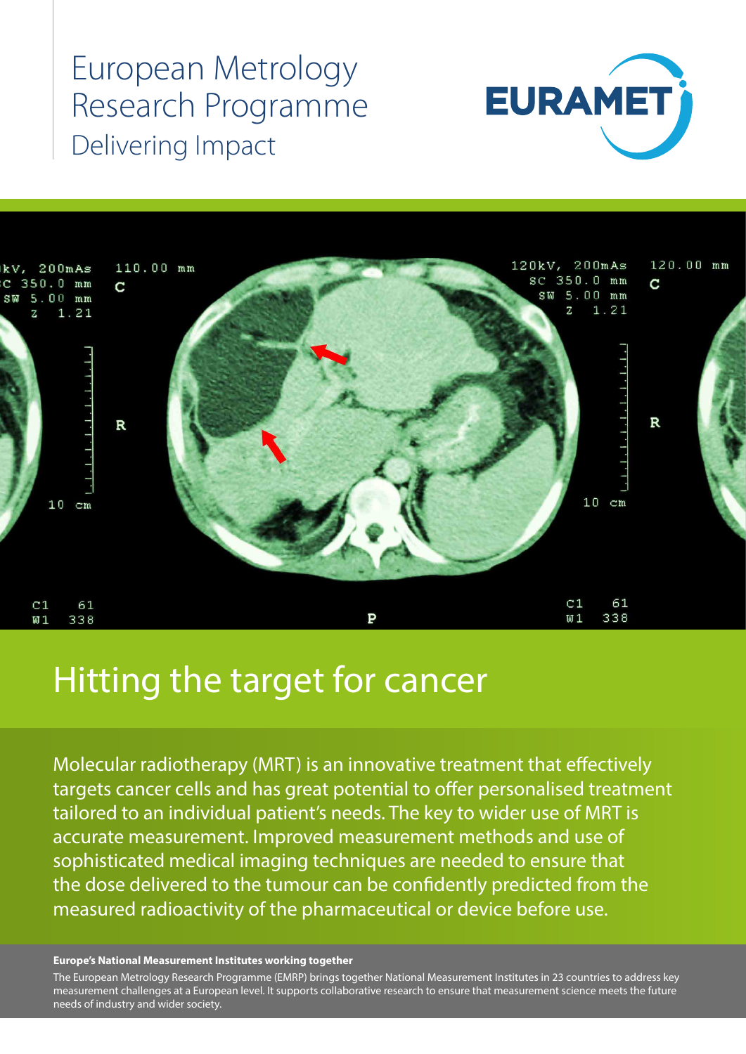# European Metrology Research Programme Delivering Impact





## Hitting the target for cancer

Molecular radiotherapy (MRT) is an innovative treatment that effectively targets cancer cells and has great potential to offer personalised treatment tailored to an individual patient's needs. The key to wider use of MRT is accurate measurement. Improved measurement methods and use of sophisticated medical imaging techniques are needed to ensure that the dose delivered to the tumour can be confidently predicted from the measured radioactivity of the pharmaceutical or device before use.

#### **Europe's National Measurement Institutes working together**

The European Metrology Research Programme (EMRP) brings together National Measurement Institutes in 23 countries to address key measurement challenges at a European level. It supports collaborative research to ensure that measurement science meets the future needs of industry and wider society.